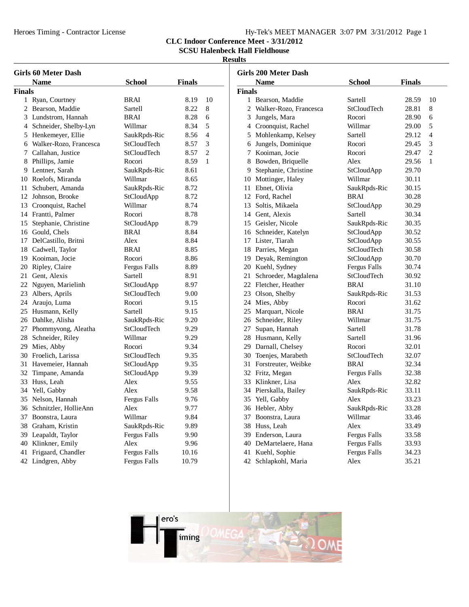# Hy-Tek's MEET MANAGER 3:07 PM 3/31/2012 Page 1

**CLC Indoor Conference Meet - 3/31/2012**

**SCSU Halenbeck Hall Fieldhouse**

÷,

|               | <b>Girls 60 Meter Dash</b> |                     |               |                |
|---------------|----------------------------|---------------------|---------------|----------------|
|               | <b>Name</b>                | <b>School</b>       | <b>Finals</b> |                |
| <b>Finals</b> |                            |                     |               |                |
| 1             | Ryan, Courtney             | <b>BRAI</b>         | 8.19          | 10             |
|               | 2 Bearson, Maddie          | Sartell             | 8.22          | 8              |
|               | 3 Lundstrom, Hannah        | <b>BRAI</b>         | 8.28          | 6              |
|               | 4 Schneider, Shelby-Lyn    | Willmar             | 8.34          | 5              |
|               | 5 Henkemeyer, Ellie        | SaukRpds-Ric        | 8.56          | $\overline{4}$ |
|               | 6 Walker-Rozo, Francesca   | <b>StCloudTech</b>  | 8.57          | 3              |
|               | 7 Callahan, Justice        | <b>StCloudTech</b>  | 8.57          | $\overline{2}$ |
|               | 8 Phillips, Jamie          | Rocori              | 8.59          | $\mathbf{1}$   |
|               | 9 Lentner, Sarah           | SaukRpds-Ric        | 8.61          |                |
|               | 10 Roelofs, Miranda        | Willmar             | 8.65          |                |
| 11            | Schubert, Amanda           | SaukRpds-Ric        | 8.72          |                |
|               | 12 Johnson, Brooke         | StCloudApp          | 8.72          |                |
|               | 13 Croonquist, Rachel      | Willmar             | 8.74          |                |
|               | 14 Frantti, Palmer         | Rocori              | 8.78          |                |
|               | 15 Stephanie, Christine    | StCloudApp          | 8.79          |                |
|               | 16 Gould, Chels            | <b>BRAI</b>         | 8.84          |                |
|               | 17 DelCastillo, Britni     | Alex                | 8.84          |                |
|               | 18 Cadwell, Taylor         | <b>BRAI</b>         | 8.85          |                |
|               | 19 Kooiman, Jocie          | Rocori              | 8.86          |                |
|               | 20 Ripley, Claire          | Fergus Falls        | 8.89          |                |
|               | 21 Gent, Alexis            | Sartell             | 8.91          |                |
|               | 22 Nguyen, Marielinh       | StCloudApp          | 8.97          |                |
|               | 23 Albers, Aprils          | <b>StCloudTech</b>  | 9.00          |                |
|               | 24 Araujo, Luma            | Rocori              | 9.15          |                |
| 25            | Husmann, Kelly             | Sartell             | 9.15          |                |
|               | 26 Dahlke, Alisha          | SaukRpds-Ric        | 9.20          |                |
|               | 27 Phommyvong, Aleatha     | StCloudTech         | 9.29          |                |
|               | 28 Schneider, Riley        | Willmar             | 9.29          |                |
|               | 29 Mies, Abby              | Rocori              | 9.34          |                |
|               | 30 Froelich, Larissa       | <b>StCloudTech</b>  | 9.35          |                |
| 31            | Havemeier, Hannah          | StCloudApp          | 9.35          |                |
| 32            | Timpane, Amanda            | StCloudApp          | 9.39          |                |
| 33            | Huss, Leah                 | Alex                | 9.55          |                |
|               | 34 Yell, Gabby             | Alex                | 9.58          |                |
|               | 35 Nelson, Hannah          | Fergus Falls        | 9.76          |                |
|               | 36 Schnitzler, HollieAnn   | Alex                | 9.77          |                |
|               | 37 Boonstra, Laura         | Willmar             | 9.84          |                |
|               | 38 Graham, Kristin         | SaukRpds-Ric        | 9.89          |                |
|               | 39 Leapaldt, Taylor        | <b>Fergus Falls</b> | 9.90          |                |
|               | 40 Klinkner, Emily         | Alex                | 9.96          |                |
| 41            | Frigaard, Chandler         | Fergus Falls        | 10.16         |                |
| 42            | Lindgren, Abby             | <b>Fergus Falls</b> | 10.79         |                |

| <b>Girls 200 Meter Dash</b>            |                          |                     |       |                |  |  |
|----------------------------------------|--------------------------|---------------------|-------|----------------|--|--|
| <b>Name</b><br>School<br><b>Finals</b> |                          |                     |       |                |  |  |
| <b>Finals</b>                          |                          |                     |       |                |  |  |
| 1                                      | Bearson, Maddie          | Sartell             | 28.59 | 10             |  |  |
|                                        | 2 Walker-Rozo, Francesca | StCloudTech         | 28.81 | 8              |  |  |
|                                        | 3 Jungels, Mara          | Rocori              | 28.90 | 6              |  |  |
|                                        | 4 Croonquist, Rachel     | Willmar             | 29.00 | 5              |  |  |
|                                        | 5 Mohlenkamp, Kelsey     | Sartell             | 29.12 | $\overline{4}$ |  |  |
|                                        | 6 Jungels, Dominique     | Rocori              | 29.45 | 3              |  |  |
|                                        | 7 Kooiman, Jocie         | Rocori              | 29.47 | $\overline{2}$ |  |  |
|                                        | 8 Bowden, Briquelle      | Alex                | 29.56 | $\mathbf{1}$   |  |  |
|                                        | 9 Stephanie, Christine   | StCloudApp          | 29.70 |                |  |  |
|                                        | 10 Mottinger, Haley      | Willmar             | 30.11 |                |  |  |
|                                        | 11 Ebnet, Olivia         | SaukRpds-Ric        | 30.15 |                |  |  |
|                                        | 12 Ford, Rachel          | <b>BRAI</b>         | 30.28 |                |  |  |
|                                        | 13 Soltis, Mikaela       | StCloudApp          | 30.29 |                |  |  |
|                                        | 14 Gent. Alexis          | Sartell             | 30.34 |                |  |  |
|                                        | 15 Geisler, Nicole       | SaukRpds-Ric        | 30.35 |                |  |  |
|                                        | 16 Schneider, Katelyn    | StCloudApp          | 30.52 |                |  |  |
|                                        | 17 Lister, Tiarah        | StCloudApp          | 30.55 |                |  |  |
|                                        | 18 Parries, Megan        | StCloudTech         | 30.58 |                |  |  |
|                                        | 19 Deyak, Remington      | StCloudApp          | 30.70 |                |  |  |
|                                        | 20 Kuehl, Sydney         | <b>Fergus Falls</b> | 30.74 |                |  |  |
|                                        | 21 Schroeder, Magdalena  | StCloudTech         | 30.92 |                |  |  |
|                                        | 22 Fletcher, Heather     | <b>BRAI</b>         | 31.10 |                |  |  |
|                                        | 23 Olson, Shelby         | SaukRpds-Ric        | 31.53 |                |  |  |
|                                        | 24 Mies, Abby            | Rocori              | 31.62 |                |  |  |
|                                        | 25 Marquart, Nicole      | <b>BRAI</b>         | 31.75 |                |  |  |
|                                        | 26 Schneider, Riley      | Willmar             | 31.75 |                |  |  |
|                                        | 27 Supan, Hannah         | Sartell             | 31.78 |                |  |  |
|                                        | 28 Husmann, Kelly        | Sartell             | 31.96 |                |  |  |
|                                        | 29 Darnall, Chelsey      | Rocori              | 32.01 |                |  |  |
|                                        | 30 Toenjes, Marabeth     | StCloudTech         | 32.07 |                |  |  |
|                                        | 31 Forstreuter, Weibke   | <b>BRAI</b>         | 32.34 |                |  |  |
|                                        | 32 Fritz, Megan          | Fergus Falls        | 32.38 |                |  |  |
|                                        | 33 Klinkner, Lisa        | Alex                | 32.82 |                |  |  |
|                                        | 34 Pierskalla, Bailey    | SaukRpds-Ric        | 33.11 |                |  |  |
|                                        | 35 Yell, Gabby           | Alex                | 33.23 |                |  |  |
|                                        | 36 Hebler, Abby          | SaukRpds-Ric        | 33.28 |                |  |  |
|                                        | 37 Boonstra, Laura       | Willmar             | 33.46 |                |  |  |
|                                        | 38 Huss, Leah            | Alex                | 33.49 |                |  |  |
|                                        | 39 Enderson, Laura       | <b>Fergus Falls</b> | 33.58 |                |  |  |
|                                        | 40 DeMartelaere, Hana    | Fergus Falls        | 33.93 |                |  |  |
|                                        | 41 Kuehl, Sophie         | <b>Fergus Falls</b> | 34.23 |                |  |  |
|                                        | 42 Schlapkohl, Maria     | Alex                | 35.21 |                |  |  |
|                                        |                          |                     |       |                |  |  |

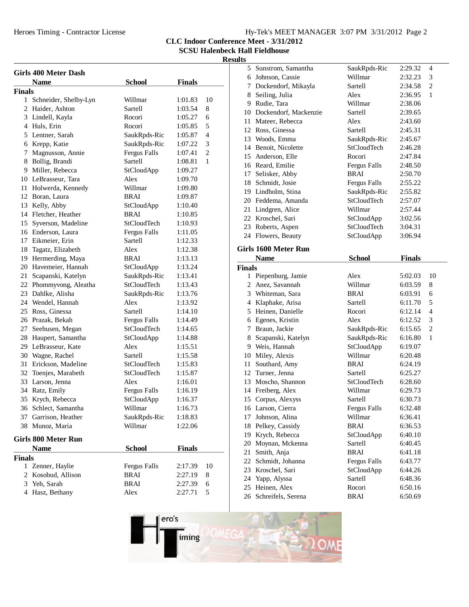|  |  |  | Hy-Tek's MEET MANAGER 3:07 PM 3/31/2012 Page 2 |  |
|--|--|--|------------------------------------------------|--|
|  |  |  |                                                |  |

**CLC Indoor Conference Meet - 3/31/2012**

**SCSU Halenbeck Hall Fieldhouse**

| <b>Girls 400 Meter Dash</b> |                            |                     |               |                |  |
|-----------------------------|----------------------------|---------------------|---------------|----------------|--|
|                             | <b>Name</b>                | <b>School</b>       | <b>Finals</b> |                |  |
| <b>Finals</b>               |                            |                     |               |                |  |
|                             | 1 Schneider, Shelby-Lyn    | Willmar             | 1:01.83       | 10             |  |
|                             | 2 Haider, Ashton           | Sartell             | 1:03.54       | 8              |  |
|                             | 3 Lindell, Kayla           | Rocori              | 1:05.27       | 6              |  |
|                             | 4 Huls, Erin               | Rocori              | 1:05.85       | 5              |  |
|                             | 5 Lentner, Sarah           | SaukRpds-Ric        | 1:05.87       | $\overline{4}$ |  |
|                             | 6 Krepp, Katie             | SaukRpds-Ric        | 1:07.22       | 3              |  |
|                             | 7 Magnusson, Annie         | <b>Fergus Falls</b> | 1:07.41       | 2              |  |
|                             | 8 Bollig, Brandi           | Sartell             | 1:08.81       | 1              |  |
|                             | 9 Miller, Rebecca          | StCloudApp          | 1:09.27       |                |  |
|                             | 10 LeBrasseur, Tara        | Alex                | 1:09.70       |                |  |
|                             | 11 Holwerda, Kennedy       | Willmar             | 1:09.80       |                |  |
|                             | 12 Boran, Laura            | BRAI                | 1:09.87       |                |  |
|                             | 13 Kelly, Abby             | StCloudApp          | 1:10.40       |                |  |
|                             | 14 Fletcher, Heather       | <b>BRAI</b>         | 1:10.85       |                |  |
|                             | 15 Syverson, Madeline      | StCloudTech         | 1:10.93       |                |  |
|                             | 16 Enderson, Laura         | Fergus Falls        | 1:11.05       |                |  |
|                             | 17 Eikmeier, Erin          | Sartell             | 1:12.33       |                |  |
|                             | 18 Tagatz, Elizabeth       | Alex                | 1:12.38       |                |  |
|                             | 19 Hermerding, Maya        | BRAI                | 1:13.13       |                |  |
|                             | 20 Havemeier, Hannah       | StCloudApp          | 1:13.24       |                |  |
|                             | 21 Scapanski, Katelyn      | SaukRpds-Ric        | 1:13.41       |                |  |
|                             | 22 Phommyvong, Aleatha     | StCloudTech         | 1:13.43       |                |  |
|                             | 23 Dahlke, Alisha          | SaukRpds-Ric        | 1:13.76       |                |  |
|                             | 24 Wendel, Hannah          | Alex                | 1:13.92       |                |  |
|                             | 25 Ross, Ginessa           | Sartell             | 1:14.10       |                |  |
|                             | 26 Prazak, Bekah           | Fergus Falls        | 1:14.49       |                |  |
|                             | 27 Seehusen, Megan         | StCloudTech         | 1:14.65       |                |  |
|                             | 28 Haupert, Samantha       | StCloudApp          | 1:14.88       |                |  |
|                             | 29 LeBrasseur, Kate        | Alex                | 1:15.51       |                |  |
|                             | 30 Wagne, Rachel           | Sartell             | 1:15.58       |                |  |
|                             | 31 Erickson, Madeline      | <b>StCloudTech</b>  | 1:15.83       |                |  |
|                             | 32 Toenjes, Marabeth       | StCloudTech         | 1:15.87       |                |  |
|                             | 33 Larson, Jenna           | Alex                | 1:16.01       |                |  |
|                             | 34 Ratz, Emily             | Fergus Falls        | 1:16.19       |                |  |
|                             | 35 Krych, Rebecca          | StCloudApp          | 1:16.37       |                |  |
| 36                          | Schlect, Samantha          | Willmar             | 1:16.73       |                |  |
| 37                          | Garrison, Heather          | SaukRpds-Ric        | 1:18.83       |                |  |
| 38                          | Munoz, Maria               | Willmar             | 1:22.06       |                |  |
|                             | <b>Girls 800 Meter Run</b> |                     |               |                |  |
|                             | <b>Name</b>                | <b>School</b>       | <b>Finals</b> |                |  |
| <b>Finals</b>               |                            |                     |               |                |  |
|                             | 1 Zenner, Haylie           | Fergus Falls        | 2:17.39       | 10             |  |
|                             | 2 Kosobud, Allison         | <b>BRAI</b>         | 2:27.19       | 8              |  |
|                             | 3 Yeh, Sarah               | <b>BRAI</b>         | 2:27.39       | 6              |  |
|                             | 4 Hasz, Bethany            | Alex                | 2:27.71       | 5              |  |

|               | 5 Sunstrom, Samantha                     | SaukRpds-Ric                   | 2:29.32            | 4              |
|---------------|------------------------------------------|--------------------------------|--------------------|----------------|
|               | 6 Johnson, Cassie                        | Willmar                        | 2:32.23            | 3              |
|               | 7 Dockendorf, Mikayla                    | Sartell                        | 2:34.58            | 2              |
|               | 8 Seiling, Julia                         | Alex                           | 2:36.95            | 1              |
|               | 9 Rudie, Tara                            | Willmar                        | 2:38.06            |                |
|               | 10 Dockendorf, Mackenzie                 | Sartell                        | 2:39.65            |                |
|               | 11 Mateer, Rebecca                       | Alex                           | 2:43.60            |                |
|               | 12 Ross, Ginessa                         | Sartell                        | 2:45.31            |                |
|               | 13 Woods, Emma                           | SaukRpds-Ric                   | 2:45.67            |                |
|               | 14 Benoit, Nicolette                     | StCloudTech                    | 2:46.28            |                |
|               | 15 Anderson, Elle                        | Rocori                         | 2:47.84            |                |
|               | 16 Reard, Emilie                         | Fergus Falls                   | 2:48.50            |                |
|               | 17 Selisker, Abby                        | <b>BRAI</b>                    | 2:50.70            |                |
|               | 18 Schmidt, Josie                        | Fergus Falls                   | 2:55.22            |                |
|               | 19 Lindholm, Stina                       | SaukRpds-Ric                   | 2:55.82            |                |
|               | 20 Feddema, Amanda                       | StCloudTech                    | 2:57.07            |                |
|               | 21 Lindgren, Alice                       | Willmar                        | 2:57.44            |                |
|               | 22 Kroschel, Sari                        | StCloudApp                     | 3:02.56            |                |
|               | 23 Roberts, Aspen                        | <b>StCloudTech</b>             | 3:04.31            |                |
|               | 24 Flowers, Beauty                       | StCloudApp                     | 3:06.94            |                |
|               |                                          |                                |                    |                |
|               | Girls 1600 Meter Run                     |                                |                    |                |
|               | <b>Name</b>                              | <b>School</b>                  | <b>Finals</b>      |                |
| <b>Finals</b> |                                          |                                |                    |                |
|               | 1 Piepenburg, Jamie                      | Alex                           | 5:02.03            | 10             |
|               | 2 Anez, Savannah                         | Willmar                        | 6:03.59            | 8              |
|               |                                          |                                |                    |                |
|               | 3 Whiteman, Sara                         | BRAI                           | 6:03.91            | 6              |
|               | 4 Klaphake, Arisa                        | Sartell                        | 6:11.70            | 5              |
|               | 5 Heinen, Danielle                       | Rocori                         | 6:12.14            | $\overline{4}$ |
|               | 6 Egenes, Kristin                        | Alex                           | 6:12.52            | 3              |
|               | 7 Braun, Jackie                          | SaukRpds-Ric                   | 6:15.65            | $\overline{2}$ |
|               | 8 Scapanski, Katelyn                     | SaukRpds-Ric                   | 6:16.80            | 1              |
|               | 9 Weis, Hannah                           |                                | 6:19.07            |                |
|               |                                          | StCloudApp<br>Willmar          | 6:20.48            |                |
|               | 10 Miley, Alexis                         | <b>BRAI</b>                    | 6:24.19            |                |
|               | 11 Southard, Amy                         | Sartell                        | 6:25.27            |                |
|               | 12 Turner, Jenna<br>13 Moscho, Shannon   | StCloudTech                    | 6:28.60            |                |
|               |                                          | Willmar                        | 6:29.73            |                |
|               | 14 Freiberg, Alex                        | Sartell                        | 6:30.73            |                |
|               | 15 Corpus, Alexyss                       |                                | 6:32.48            |                |
| 17            | 16 Larson, Cierra<br>Johnson, Alina      | <b>Fergus Falls</b><br>Willmar | 6:36.41            |                |
|               |                                          | <b>BRAI</b>                    |                    |                |
|               | 18 Pelkey, Cassidy                       |                                | 6:36.53<br>6:40.10 |                |
|               | 19 Krych, Rebecca<br>20 Moynan, Mckenna  | StCloudApp<br>Sartell          | 6:40.45            |                |
| 21            | Smith, Anja                              | <b>BRAI</b>                    | 6:41.18            |                |
|               |                                          |                                |                    |                |
|               | 22 Schmidt, Johanna<br>23 Kroschel, Sari | Fergus Falls                   | 6:43.77<br>6:44.26 |                |
|               |                                          | StCloudApp<br>Sartell          | 6:48.36            |                |
|               | 24 Yapp, Alyssa<br>25 Heinen, Alex       | Rocori                         | 6:50.16            |                |
|               | 26 Schreifels, Serena                    | BRAI                           | 6:50.69            |                |
|               |                                          |                                |                    |                |

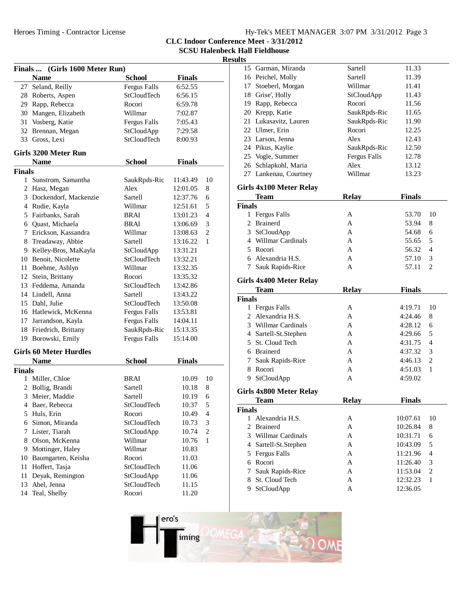| Hy-Tek's MEET MANAGER 3:07 PM 3/31/2012 Page 3 |  |  |
|------------------------------------------------|--|--|
|                                                |  |  |

**CLC Indoor Conference Meet - 3/31/2012**

**SCSU Halenbeck Hall Fieldhouse**

| Finals  (Girls 1600 Meter Run) |                               |                     |               |                |  |  |  |  |
|--------------------------------|-------------------------------|---------------------|---------------|----------------|--|--|--|--|
|                                | <b>Name</b>                   | <b>School</b>       | <b>Finals</b> |                |  |  |  |  |
|                                | 27 Seland, Reilly             | <b>Fergus Falls</b> | 6:52.55       |                |  |  |  |  |
|                                | 28 Roberts, Aspen             | StCloudTech         | 6:56.15       |                |  |  |  |  |
|                                | 29 Rapp, Rebecca              | Rocori              | 6:59.78       |                |  |  |  |  |
|                                | 30 Mangen, Elizabeth          | Willmar             | 7:02.87       |                |  |  |  |  |
| 31                             | Vosberg, Katie                | <b>Fergus Falls</b> | 7:05.43       |                |  |  |  |  |
|                                | 32 Brennan, Megan             | StCloudApp          | 7:29.58       |                |  |  |  |  |
|                                | 33 Gross, Lexi                | StCloudTech         | 8:00.93       |                |  |  |  |  |
|                                |                               |                     |               |                |  |  |  |  |
| Girls 3200 Meter Run           |                               |                     |               |                |  |  |  |  |
|                                | <b>Name</b>                   | <b>School</b>       | <b>Finals</b> |                |  |  |  |  |
| Finals                         |                               |                     |               |                |  |  |  |  |
|                                | 1 Sunstrom, Samantha          | SaukRpds-Ric        | 11:43.49      | 10             |  |  |  |  |
|                                | 2 Hasz, Megan                 | Alex                | 12:01.05      | 8              |  |  |  |  |
|                                | 3 Dockendorf, Mackenzie       | Sartell             | 12:37.76      | 6              |  |  |  |  |
|                                | 4 Rudie, Kayla                | Willmar             | 12:51.61      | 5              |  |  |  |  |
|                                | 5 Fairbanks, Sarah            | BRAI                | 13:01.23      | $\overline{4}$ |  |  |  |  |
|                                | 6 Quast, Michaela             | BRAI                | 13:06.69      | 3              |  |  |  |  |
|                                | 7 Erickson, Kassandra         | Willmar             | 13:08.63      | $\mathfrak{2}$ |  |  |  |  |
|                                | 8 Treadaway, Abbie            | Sartell             | 13:16.22      | 1              |  |  |  |  |
|                                | 9 Kelley-Bros, MaKayla        | StCloudApp          | 13:31.21      |                |  |  |  |  |
|                                | 10 Benoit, Nicolette          | StCloudTech         | 13:32.21      |                |  |  |  |  |
|                                | 11 Boehme, Ashlyn             | Willmar             | 13:32.35      |                |  |  |  |  |
|                                | 12 Stein, Brittany            | Rocori              | 13:35.32      |                |  |  |  |  |
|                                | 13 Feddema, Amanda            | StCloudTech         | 13:42.86      |                |  |  |  |  |
|                                | 14 Lindell, Anna              | Sartell             | 13:43.22      |                |  |  |  |  |
|                                | 15 Dahl, Julie                | StCloudTech         | 13:50.08      |                |  |  |  |  |
|                                | 16 Hatlewick, McKenna         | Fergus Falls        | 13:53.81      |                |  |  |  |  |
|                                | 17 Jarrandson, Kayla          | <b>Fergus Falls</b> | 14:04.11      |                |  |  |  |  |
|                                | 18 Friedrich, Brittany        | SaukRpds-Ric        | 15:13.35      |                |  |  |  |  |
|                                | 19 Borowski, Emily            | <b>Fergus Falls</b> | 15:14.00      |                |  |  |  |  |
|                                |                               |                     |               |                |  |  |  |  |
|                                | <b>Girls 60 Meter Hurdles</b> |                     |               |                |  |  |  |  |
|                                | <b>Name</b>                   | <b>School</b>       | <b>Finals</b> |                |  |  |  |  |
| <b>Finals</b>                  |                               |                     |               |                |  |  |  |  |
| 1                              | Miller, Chloe                 | BRAI                | 10.09         | 10             |  |  |  |  |
|                                | 2 Bollig, Brandi              | Sartell             | 10.18         | 8              |  |  |  |  |
| 3                              | Meier, Maddie                 | Sartell             | 10.19         | 6              |  |  |  |  |
|                                | 4 Baer, Rebecca               | StCloudTech         | 10.37         | 5              |  |  |  |  |
| 5                              | Huls, Erin                    | Rocori              | 10.49         | 4              |  |  |  |  |
|                                | 6 Simon, Miranda              | StCloudTech         | 10.73         | 3              |  |  |  |  |
| 7                              | Lister, Tiarah                | StCloudApp          | 10.74         | $\overline{c}$ |  |  |  |  |
| 8                              | Olson, McKenna                | Willmar             | 10.76         | $\mathbf{1}$   |  |  |  |  |
| 9                              | Mottinger, Haley              | Willmar             | 10.83         |                |  |  |  |  |
| 10                             | Baumgarten, Keisha            | Rocori              | 11.03         |                |  |  |  |  |
| 11                             | Hoffert, Tasja                | StCloudTech         | 11.06         |                |  |  |  |  |
| 11                             | Deyak, Remington              | StCloudApp          | 11.06         |                |  |  |  |  |
| 13                             |                               | StCloudTech         |               |                |  |  |  |  |
|                                | Abel, Jenna                   |                     | 11.15         |                |  |  |  |  |
| 14                             | Teal, Shelby                  | Rocori              | 11.20         |                |  |  |  |  |

|                | 15 Garman, Miranda          | Sartell             | 11.33                |                |
|----------------|-----------------------------|---------------------|----------------------|----------------|
|                | 16 Peichel, Molly           | Sartell             | 11.39                |                |
|                | 17 Stoeberl, Morgan         | Willmar             | 11.41                |                |
|                | 18 Grise', Holly            | StCloudApp          | 11.43                |                |
|                | 19 Rapp, Rebecca            | Rocori              | 11.56                |                |
|                | 20 Krepp, Katie             | SaukRpds-Ric        | 11.65                |                |
|                | 21 Lukasavitz, Lauren       | SaukRpds-Ric        | 11.90                |                |
|                | 22 Ulmer, Erin              | Rocori              | 12.25                |                |
|                | 23 Larson, Jenna            | Alex                | 12.43                |                |
|                | 24 Pikus, Kaylie            | SaukRpds-Ric        | 12.50                |                |
|                | 25 Vogle, Summer            | <b>Fergus Falls</b> | 12.78                |                |
|                | 26 Schlapkohl, Maria        | Alex                | 13.12                |                |
|                | 27 Lankenau, Courtney       | Willmar             | 13.23                |                |
|                |                             |                     |                      |                |
|                | Girls 4x100 Meter Relay     |                     |                      |                |
|                | <b>Team</b>                 | <b>Relay</b>        | <b>Finals</b>        |                |
| Finals         |                             |                     |                      |                |
|                | 1 Fergus Falls              | А                   | 53.70                | 10             |
|                | 2 Brainerd                  | A                   | 53.94                | 8              |
|                | 3 StCloudApp                | A                   | 54.68                | 6              |
|                | 4 Willmar Cardinals         | A                   | 55.65                | 5              |
|                | 5 Rocori                    | A                   | 56.32                | 4              |
|                | 6 Alexandria H.S.           | A                   | 57.10                | 3              |
|                | 7 Sauk Rapids-Rice          | A                   | 57.11                | 2              |
|                | Girls 4x400 Meter Relay     |                     |                      |                |
|                | <b>Team</b>                 | <b>Relay</b>        | <b>Finals</b>        |                |
| Finals         |                             |                     |                      |                |
|                | 1 Fergus Falls              | А                   | 4:19.71              | 10             |
|                | 2 Alexandria H.S.           | A                   | 4:24.46              | 8              |
|                | 3 Willmar Cardinals         | A                   | 4:28.12              | 6              |
|                | 4 Sartell-St.Stephen        | A                   | 4:29.66              | 5              |
|                | 5 St. Cloud Tech            | A                   | 4:31.75              | 4              |
|                | 6 Brainerd                  | A                   | 4:37.32              | 3              |
|                | 7 Sauk Rapids-Rice          | A                   | 4:46.13              | 2              |
|                | 8 Rocori                    | A                   | 4:51.03              | 1              |
|                | 9 StCloudApp                | A                   | 4:59.02              |                |
|                |                             |                     |                      |                |
|                | Girls 4x800 Meter Relay     |                     |                      |                |
|                | Team                        | <b>Relay</b>        | <b>Finals</b>        |                |
| Finals<br>1    |                             |                     |                      | 10             |
| 2              | Alexandria H.S.<br>Brainerd | А<br>A              | 10:07.61<br>10:26.84 | 8              |
| 3              | Willmar Cardinals           | A                   |                      | 6              |
|                |                             |                     | 10:31.71             |                |
| $\overline{4}$ | Sartell-St.Stephen          | A                   | 10:43.09             | 5              |
| 5              | Fergus Falls                | A                   | 11:21.96             | $\overline{4}$ |
| 6              | Rocori                      | A                   | 11:26.40             | 3              |
| 7              | Sauk Rapids-Rice            | A                   | 11:53.04             | $\overline{c}$ |
| 8              | St. Cloud Tech              | A                   | 12:32.23             | $\mathbf{1}$   |
| 9              | StCloudApp                  | A                   | 12:36.05             |                |

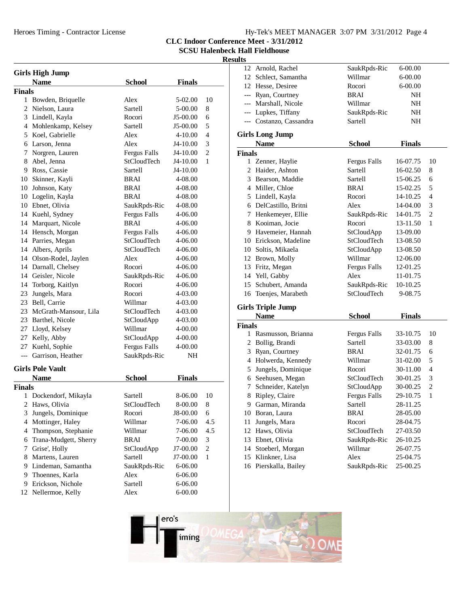Heroes Timing - Contractor License

| Hy-Tek's MEET MANAGER 3:07 PM 3/31/2012 Page 4 |  |  |  |
|------------------------------------------------|--|--|--|
|------------------------------------------------|--|--|--|

**CLC Indoor Conference Meet - 3/31/2012**

**SCSU Halenbeck Hall Fieldhouse**

| <b>Girls High Jump</b> |                          |                     |               |                |  |
|------------------------|--------------------------|---------------------|---------------|----------------|--|
|                        | <b>Name</b>              | <b>School</b>       | <b>Finals</b> |                |  |
| <b>Finals</b>          |                          |                     |               |                |  |
|                        | 1 Bowden, Briquelle      | Alex                | 5-02.00       | 10             |  |
| 2                      | Nielson, Laura           | Sartell             | 5-00.00       | 8              |  |
|                        | 3 Lindell, Kayla         | Rocori              | J5-00.00      | 6              |  |
|                        | 4 Mohlenkamp, Kelsey     | Sartell             | J5-00.00      | 5              |  |
|                        | 5 Koel, Gabrielle        | Alex                | 4-10.00       | $\overline{4}$ |  |
|                        | 6 Larson, Jenna          | Alex                | J4-10.00      | 3              |  |
|                        | 7 Norgren, Lauren        | Fergus Falls        | J4-10.00      | $\overline{2}$ |  |
|                        | 8 Abel, Jenna            | StCloudTech         | J4-10.00      | 1              |  |
|                        | 9 Ross, Cassie           | Sartell             | J4-10.00      |                |  |
|                        | 10 Skinner, Kayli        | BRAI                | 4-08.00       |                |  |
|                        | 10 Johnson, Katy         | BRAI                | 4-08.00       |                |  |
|                        | 10 Logelin, Kayla        | BRAI                | 4-08.00       |                |  |
|                        | 10 Ebnet, Olivia         | SaukRpds-Ric        | 4-08.00       |                |  |
|                        | 14 Kuehl, Sydney         | <b>Fergus Falls</b> | 4-06.00       |                |  |
|                        | 14 Marquart, Nicole      | <b>BRAI</b>         | 4-06.00       |                |  |
|                        | 14 Hensch, Morgan        | Fergus Falls        | 4-06.00       |                |  |
|                        | 14 Parries, Megan        | StCloudTech         | 4-06.00       |                |  |
|                        | 14 Albers, Aprils        | StCloudTech         | 4-06.00       |                |  |
|                        | 14 Olson-Rodel, Jaylen   | Alex                | 4-06.00       |                |  |
|                        | 14 Darnall, Chelsey      | Rocori              | 4-06.00       |                |  |
|                        | 14 Geisler, Nicole       | SaukRpds-Ric        | 4-06.00       |                |  |
|                        | 14 Torborg, Kaitlyn      | Rocori              | 4-06.00       |                |  |
|                        | 23 Jungels, Mara         | Rocori              | 4-03.00       |                |  |
|                        | 23 Bell, Carrie          | Willmar             | 4-03.00       |                |  |
|                        | 23 McGrath-Mansour, Lila | StCloudTech         | 4-03.00       |                |  |
|                        | 23 Barthel, Nicole       | StCloudApp          | 4-03.00       |                |  |
|                        | 27 Lloyd, Kelsey         | Willmar             | 4-00.00       |                |  |
|                        | 27 Kelly, Abby           | StCloudApp          | 4-00.00       |                |  |
|                        | 27 Kuehl, Sophie         | Fergus Falls        | 4-00.00       |                |  |
|                        | --- Garrison, Heather    | SaukRpds-Ric        | NΗ            |                |  |
|                        | <b>Girls Pole Vault</b>  |                     |               |                |  |
|                        | <b>Name</b>              | <b>School</b>       | <b>Finals</b> |                |  |
| <b>Finals</b>          |                          |                     |               |                |  |
| 1                      | Dockendorf, Mikayla      | Sartell             | 8-06.00       | 10             |  |
| 2                      | Haws, Olivia             | StCloudTech         | 8-00.00       | 8              |  |
| 3                      | Jungels, Dominique       | Rocori              | J8-00.00      | 6              |  |
| 4                      | Mottinger, Haley         | Willmar             | 7-06.00       | 4.5            |  |
| 4                      | Thompson, Stephanie      | Willmar             | 7-06.00       | 4.5            |  |
| 6                      | Trana-Mudgett, Sherry    | BRAI                | 7-00.00       | 3              |  |
| 7                      | Grise', Holly            | StCloudApp          | J7-00.00      | $\overline{c}$ |  |
| 8                      | Martens, Lauren          | Sartell             | J7-00.00      | 1              |  |
| 9                      | Lindeman, Samantha       | SaukRpds-Ric        | 6-06.00       |                |  |
| 9                      | Thoennes, Karla          | Alex                | 6-06.00       |                |  |
| 9                      | Erickson, Nichole        | Sartell             | 6-06.00       |                |  |
| 12                     | Nellermoe, Kelly         | Alex                | 6-00.00       |                |  |
|                        |                          |                     |               |                |  |

| ,             |                          |                     |               |                |
|---------------|--------------------------|---------------------|---------------|----------------|
|               | 12 Arnold, Rachel        | SaukRpds-Ric        | 6-00.00       |                |
|               | 12 Schlect, Samantha     | Willmar             | 6-00.00       |                |
|               | 12 Hesse, Desiree        | Rocori              | 6-00.00       |                |
|               | --- Ryan, Courtney       | BRAI                | NΗ            |                |
|               | --- Marshall, Nicole     | Willmar             | NΗ            |                |
|               | --- Lupkes, Tiffany      | SaukRpds-Ric        | NH            |                |
|               | --- Costanzo, Cassandra  | Sartell             | NH            |                |
|               |                          |                     |               |                |
|               | <b>Girls Long Jump</b>   |                     |               |                |
|               | <b>Name</b>              | <b>School</b>       | <b>Finals</b> |                |
| <b>Finals</b> |                          |                     |               |                |
|               | 1 Zenner, Haylie         | <b>Fergus Falls</b> | 16-07.75      | 10             |
|               | 2 Haider, Ashton         | Sartell             | 16-02.50      | 8              |
|               | 3 Bearson, Maddie        | Sartell             | 15-06.25      | 6              |
|               | 4 Miller, Chloe          | BRAI                | 15-02.25      | 5              |
|               | 5 Lindell, Kayla         | Rocori              | 14-10.25      | 4              |
|               | 6 DelCastillo, Britni    | Alex                | 14-04.00      | 3              |
|               | 7 Henkemeyer, Ellie      | SaukRpds-Ric        | 14-01.75      | $\overline{c}$ |
|               | 8 Kooiman, Jocie         | Rocori              | 13-11.50      | 1              |
|               | 9 Havemeier, Hannah      | StCloudApp          | 13-09.00      |                |
|               | 10 Erickson, Madeline    | StCloudTech         | 13-08.50      |                |
|               | 10 Soltis, Mikaela       | StCloudApp          | 13-08.50      |                |
|               | 12 Brown, Molly          | Willmar             | 12-06.00      |                |
|               |                          | Fergus Falls        | 12-01.25      |                |
|               | 13 Fritz, Megan          | Alex                |               |                |
|               | 14 Yell, Gabby           |                     | 11-01.75      |                |
|               | 15 Schubert, Amanda      | SaukRpds-Ric        | 10-10.25      |                |
|               | 16 Toenjes, Marabeth     | StCloudTech         | 9-08.75       |                |
|               | <b>Girls Triple Jump</b> |                     |               |                |
|               | <b>Name</b>              | <b>School</b>       | <b>Finals</b> |                |
| <b>Finals</b> |                          |                     |               |                |
|               | 1 Rasmusson, Brianna     | <b>Fergus Falls</b> | 33-10.75      | 10             |
|               | 2 Bollig, Brandi         | Sartell             | 33-03.00      | 8              |
|               | 3 Ryan, Courtney         | <b>BRAI</b>         | 32-01.75      | 6              |
|               | 4 Holwerda, Kennedy      | Willmar             | 31-02.00      | 5              |
|               | 5 Jungels, Dominique     | Rocori              | 30-11.00      | 4              |
|               | 6 Seehusen, Megan        | StCloudTech         | 30-01.25      | 3              |
|               | 7 Schneider, Katelyn     | StCloudApp          | 30-00.25      | $\overline{c}$ |
|               | 8 Ripley, Claire         | Fergus Falls        | 29-10.75      | 1              |
|               |                          |                     |               |                |
|               | 9 Garman, Miranda        | Sartell             | 28-11.25      |                |
|               | 10 Boran, Laura          | BRAI                | 28-05.00      |                |
| 11            | Jungels, Mara            | Rocori              | 28-04.75      |                |
|               | 12 Haws, Olivia          | StCloudTech         | 27-03.50      |                |
|               | 13 Ebnet, Olivia         | SaukRpds-Ric        | 26-10.25      |                |
|               | 14 Stoeberl, Morgan      | Willmar             | 26-07.75      |                |
|               | 15 Klinkner, Lisa        | Alex                | 25-04.75      |                |
|               | 16 Pierskalla, Bailey    | SaukRpds-Ric        | 25-00.25      |                |
|               |                          |                     |               |                |

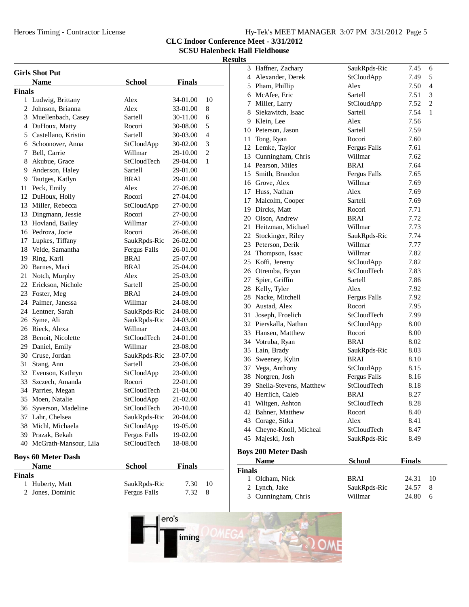Heroes Timing - Contractor License

|  |  |  | Hy-Tek's MEET MANAGER 3:07 PM 3/31/2012 Page 5 |  |
|--|--|--|------------------------------------------------|--|
|  |  |  |                                                |  |

**CLC Indoor Conference Meet - 3/31/2012**

**SCSU Halenbeck Hall Fieldhouse**

### **Results**

| <b>Girls Shot Put</b> |                           |                     |               |                |  |  |
|-----------------------|---------------------------|---------------------|---------------|----------------|--|--|
|                       | <b>Name</b>               | <b>School</b>       | <b>Finals</b> |                |  |  |
| <b>Finals</b>         |                           |                     |               |                |  |  |
|                       | 1 Ludwig, Brittany        | Alex                | 34-01.00      | 10             |  |  |
|                       | 2 Johnson, Brianna        | Alex                | 33-01.00      | 8              |  |  |
|                       | 3 Muellenbach, Casey      | Sartell             | 30-11.00      | 6              |  |  |
|                       | 4 DuHoux, Matty           | Rocori              | 30-08.00      | 5              |  |  |
|                       | 5 Castellano, Kristin     | Sartell             | 30-03.00      | 4              |  |  |
|                       | 6 Schoonover, Anna        | StCloudApp          | 30-02.00      | 3              |  |  |
|                       | 7 Bell, Carrie            | Willmar             | 29-10.00      | $\overline{c}$ |  |  |
|                       | 8 Akubue, Grace           | <b>StCloudTech</b>  | 29-04.00      | 1              |  |  |
|                       | 9 Anderson, Haley         | Sartell             | 29-01.00      |                |  |  |
|                       | 9 Tautges, Katlyn         | <b>BRAI</b>         | 29-01.00      |                |  |  |
|                       | 11 Peck, Emily            | Alex                | 27-06.00      |                |  |  |
|                       | 12 DuHoux, Holly          | Rocori              | 27-04.00      |                |  |  |
|                       | 13 Miller, Rebecca        | StCloudApp          | 27-00.00      |                |  |  |
|                       | 13 Dingmann, Jessie       | Rocori              | 27-00.00      |                |  |  |
|                       | 13 Hovland, Bailey        | Willmar             | 27-00.00      |                |  |  |
|                       | 16 Pedroza, Jocie         | Rocori              | 26-06.00      |                |  |  |
|                       | 17 Lupkes, Tiffany        | SaukRpds-Ric        | 26-02.00      |                |  |  |
|                       | 18 Velde, Samantha        | Fergus Falls        | 26-01.00      |                |  |  |
|                       | 19 Ring, Karli            | <b>BRAI</b>         | 25-07.00      |                |  |  |
|                       | 20 Barnes, Maci           | BRAI                | 25-04.00      |                |  |  |
|                       | 21 Notch, Murphy          | Alex                | 25-03.00      |                |  |  |
|                       | 22 Erickson, Nichole      | Sartell             | 25-00.00      |                |  |  |
|                       | 23 Foster, Meg            | <b>BRAI</b>         | 24-09.00      |                |  |  |
|                       | 24 Palmer, Janessa        | Willmar             | 24-08.00      |                |  |  |
|                       | 24 Lentner, Sarah         | SaukRpds-Ric        | 24-08.00      |                |  |  |
|                       | 26 Syme, Ali              | SaukRpds-Ric        | 24-03.00      |                |  |  |
|                       | 26 Rieck, Alexa           | Willmar             | 24-03.00      |                |  |  |
|                       | 28 Benoit, Nicolette      | StCloudTech         | 24-01.00      |                |  |  |
|                       | 29 Daniel, Emily          | Willmar             | 23-08.00      |                |  |  |
|                       | 30 Cruse, Jordan          | SaukRpds-Ric        | 23-07.00      |                |  |  |
| 31                    | Stang, Ann                | Sartell             | 23-06.00      |                |  |  |
|                       | 32 Evenson, Kathryn       | StCloudApp          | 23-00.00      |                |  |  |
|                       | 33 Szczech, Amanda        | Rocori              | 22-01.00      |                |  |  |
|                       | 34 Parries, Megan         | <b>StCloudTech</b>  | 21-04.00      |                |  |  |
|                       | 35 Moen, Natalie          | StCloudApp          | 21-02.00      |                |  |  |
| 36                    | Syverson, Madeline        | <b>StCloudTech</b>  | 20-10.00      |                |  |  |
|                       | 37 Lahr, Chelsea          | SaukRpds-Ric        | 20-04.00      |                |  |  |
| 38                    | Michl, Michaela           | StCloudApp          | 19-05.00      |                |  |  |
|                       | 39 Prazak, Bekah          | <b>Fergus Falls</b> | 19-02.00      |                |  |  |
|                       | 40 McGrath-Mansour, Lila  | StCloudTech         | 18-08.00      |                |  |  |
|                       | <b>Boys 60 Meter Dash</b> |                     |               |                |  |  |
|                       | Name                      | <b>School</b>       | <b>Finals</b> |                |  |  |
| <b>Finals</b>         |                           |                     |               |                |  |  |
| 1                     | Huberty, Matt             | SaukRpds-Ric        | 7.30          | 10             |  |  |
| 2                     | Jones, Dominic            | <b>Fergus Falls</b> | 7.32          | 8              |  |  |

| 1             | Oldham, Nick                        | <b>BRAI</b>       | 24.31         | 10 |  |
|---------------|-------------------------------------|-------------------|---------------|----|--|
| <b>Finals</b> |                                     |                   |               |    |  |
|               | <b>Name</b>                         | <b>School</b>     | <b>Finals</b> |    |  |
|               | <b>Boys 200 Meter Dash</b>          |                   |               |    |  |
|               | 45 Majeski, Josh                    | SaukRpds-Ric      | 8.49          |    |  |
|               | 44 Cheyne-Knoll, Micheal            | StCloudTech       | 8.47          |    |  |
|               | 43 Corage, Sitka                    | Alex              | 8.41          |    |  |
|               | 42 Bahner, Matthew                  | Rocori            | 8.40          |    |  |
|               | 41 Wiltgen, Ashton                  | StCloudTech       | 8.28          |    |  |
|               | 40 Herrlich, Caleb                  | BRAI              | 8.27          |    |  |
|               | 39 Shella-Stevens, Matthew          | StCloudTech       | 8.18          |    |  |
|               | 38 Norgren, Josh                    | Fergus Falls      | 8.16          |    |  |
|               | 37 Vega, Anthony                    | StCloudApp        | 8.15          |    |  |
|               | 36 Sweeney, Kylin                   | <b>BRAI</b>       | 8.10          |    |  |
|               | 35 Lain, Brady                      | SaukRpds-Ric      | 8.03          |    |  |
|               | 34 Votruba, Ryan                    | <b>BRAI</b>       | 8.02          |    |  |
|               | 33 Hansen, Matthew                  | Rocori            | 8.00          |    |  |
|               | 32 Pierskalla, Nathan               | StCloudApp        | 8.00          |    |  |
|               | 31 Joseph, Froelich                 | StCloudTech       | 7.99          |    |  |
|               | 30 Austad, Alex                     | Rocori            | 7.95          |    |  |
|               | 28 Nacke, Mitchell                  | Fergus Falls      | 7.92          |    |  |
|               | 28 Kelly, Tyler                     | Alex              | 7.92          |    |  |
|               | 27 Spier, Griffin                   | Sartell           | 7.86          |    |  |
|               | 26 Otremba, Bryon                   | StCloudTech       | 7.83          |    |  |
|               | 25 Koffi, Jeremy                    | StCloudApp        | 7.82          |    |  |
|               | 24 Thompson, Isaac                  | Willmar           | 7.82          |    |  |
|               | 23 Peterson, Derik                  | Willmar           | 7.77          |    |  |
|               | 22 Stockinger, Riley                | SaukRpds-Ric      | 7.74          |    |  |
|               | 21 Heitzman, Michael                | Willmar           | 7.73          |    |  |
|               | 19 Dircks, Matt<br>20 Olson, Andrew | BRAI              | 7.72          |    |  |
|               | 17 Malcolm, Cooper                  | Sartell<br>Rocori | 7.69<br>7.71  |    |  |
|               | 17 Huss, Nathan                     | Alex              | 7.69          |    |  |
|               | 16 Grove, Alex                      | Willmar           | 7.69          |    |  |
|               | 15 Smith, Brandon                   | Fergus Falls      | 7.65          |    |  |
|               | 14 Pearson, Miles                   | <b>BRAI</b>       | 7.64          |    |  |
|               | 13 Cunningham, Chris                | Willmar           | 7.62          |    |  |
|               | 12 Lemke, Taylor                    | Fergus Falls      | 7.61          |    |  |
|               | 11 Tong, Ryan                       | Rocori            | 7.60          |    |  |
|               | 10 Peterson, Jason                  | Sartell           | 7.59          |    |  |
|               | 9 Klein, Lee                        | Alex              | 7.56          |    |  |
|               | 8 Siekawitch, Isaac                 | Sartell           | 7.54          | 1  |  |
|               | 7 Miller, Larry                     | StCloudApp        | 7.52          | 2  |  |
|               | 6 McAfee, Eric                      | Sartell           | 7.51          | 3  |  |
|               | 5 Pham, Phillip                     | Alex              | 7.50          | 4  |  |
|               | 4 Alexander, Derek                  | StCloudApp        | 7.49          | 5  |  |
|               | 3 Haffner, Zachary                  | SaukRpds-Ric      | 7.45          | 6  |  |
| ատ            |                                     |                   |               |    |  |

2 Lynch, Jake<br>24.57 SaukRpds-Ric 24.57 8 3 Cunningham, Chris Willmar 24.80 6

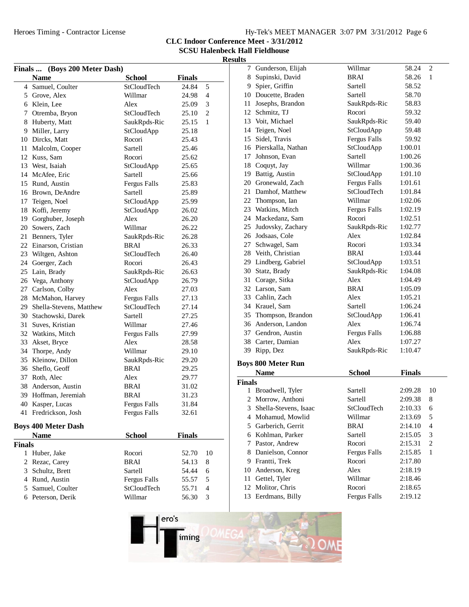| Hy-Tek's MEET MANAGER 3:07 PM 3/31/2012 Page 6 |  |  |  |  |  |  |
|------------------------------------------------|--|--|--|--|--|--|
|------------------------------------------------|--|--|--|--|--|--|

**CLC Indoor Conference Meet - 3/31/2012**

**SCSU Halenbeck Hall Fieldhouse Results**

|                | Finals  (Boys 200 Meter Dash) |                     |               |                |
|----------------|-------------------------------|---------------------|---------------|----------------|
|                | <b>Name</b>                   | <b>School</b>       | <b>Finals</b> |                |
|                | 4 Samuel, Coulter             | StCloudTech         | 24.84         | 5              |
|                | 5 Grove, Alex                 | Willmar             | 24.98         | 4              |
|                | 6 Klein, Lee                  | Alex                | 25.09         | 3              |
| 7              | Otremba, Bryon                | StCloudTech         | 25.10         | $\overline{2}$ |
|                | 8 Huberty, Matt               | SaukRpds-Ric        | 25.15         | 1              |
|                | 9 Miller, Larry               | StCloudApp          | 25.18         |                |
|                | 10 Dircks, Matt               | Rocori              | 25.43         |                |
| 11             | Malcolm, Cooper               | Sartell             | 25.46         |                |
|                | 12 Kuss, Sam                  | Rocori              | 25.62         |                |
|                | 13 West, Isaiah               | StCloudApp          | 25.65         |                |
|                | 14 McAfee, Eric               | Sartell             | 25.66         |                |
|                | 15 Rund, Austin               | Fergus Falls        | 25.83         |                |
|                | 16 Brown, DeAndre             | Sartell             | 25.89         |                |
| 17             | Teigen, Noel                  | StCloudApp          | 25.99         |                |
| 18             | Koffi, Jeremy                 | StCloudApp          | 26.02         |                |
| 19             | Gorghuber, Joseph             | Alex                | 26.20         |                |
| 20             | Sowers, Zach                  | Willmar             | 26.22         |                |
| 21             | Benners, Tyler                | SaukRpds-Ric        | 26.28         |                |
|                | 22 Einarson, Cristian         | BRAI                | 26.33         |                |
|                | 23 Wiltgen, Ashton            | StCloudTech         | 26.40         |                |
|                | 24 Goerger, Zach              | Rocori              | 26.43         |                |
|                | 25 Lain, Brady                | SaukRpds-Ric        | 26.63         |                |
|                | 26 Vega, Anthony              | StCloudApp          | 26.79         |                |
|                | 27 Carlson, Colby             | Alex                | 27.03         |                |
|                | 28 McMahon, Harvey            | Fergus Falls        | 27.13         |                |
| 29             | Shella-Stevens, Matthew       | StCloudTech         | 27.14         |                |
|                | 30 Stachowski, Darek          | Sartell             | 27.25         |                |
| 31             | Suves, Kristian               | Willmar             | 27.46         |                |
| 32             | Watkins, Mitch                | Fergus Falls        | 27.99         |                |
| 33             | Akset, Bryce                  | Alex                | 28.58         |                |
|                | 34 Thorpe, Andy               | Willmar             | 29.10         |                |
|                | 35 Kleinow, Dillon            | SaukRpds-Ric        | 29.20         |                |
|                | 36 Sheflo, Geoff              | BRAI                | 29.25         |                |
|                | 37 Roth, Alec                 | Alex                | 29.77         |                |
|                | 38 Anderson, Austin           | BRAI                | 31.02         |                |
|                | 39 Hoffman, Jeremiah          | BRAI                | 31.23         |                |
|                | 40 Kasper, Lucas              | Fergus Falls        | 31.84         |                |
| 41             | Fredrickson, Josh             | Fergus Falls        | 32.61         |                |
|                | <b>Boys 400 Meter Dash</b>    |                     |               |                |
|                | <b>Name</b>                   | <b>School</b>       | <b>Finals</b> |                |
| <b>Finals</b>  |                               |                     |               |                |
| 1              | Huber, Jake                   | Rocori              | 52.70         | 10             |
| $\overline{c}$ | Rezac, Carey                  | <b>BRAI</b>         | 54.13         | 8              |
| 3              | Schultz, Brett                | Sartell             | 54.44         | 6              |
|                | 4 Rund, Austin                | <b>Fergus Falls</b> | 55.57         | 5              |
| 5              | Samuel, Coulter               | StCloudTech         | 55.71         | 4              |

5 Samuel, Coulter<br>5 StCloudTech 55.71 4<br>5 StCloudTech 55.30 3<br>5 StCloudTech 56.30 3 6 Peterson, Derik Willmar 56.30 3

|               | 7 Gunderson, Elijah       | Willmar             | 58.24         | 2                        |
|---------------|---------------------------|---------------------|---------------|--------------------------|
|               | 8 Supinski, David         | <b>BRAI</b>         | 58.26         | 1                        |
|               | 9 Spier, Griffin          | Sartell             | 58.52         |                          |
|               | 10 Doucette, Braden       | Sartell             | 58.70         |                          |
|               | 11 Josephs, Brandon       | SaukRpds-Ric        | 58.83         |                          |
|               | 12 Schmitz, TJ            | Rocori              | 59.32         |                          |
|               | 13 Voit, Michael          | SaukRpds-Ric        | 59.40         |                          |
|               | 14 Teigen, Noel           | StCloudApp          | 59.48         |                          |
|               | 15 Sidel, Travis          | <b>Fergus Falls</b> | 59.92         |                          |
|               | 16 Pierskalla, Nathan     | StCloudApp          | 1:00.01       |                          |
|               | 17 Johnson, Evan          | Sartell             | 1:00.26       |                          |
|               | 18 Coquyt, Jay            | Willmar             | 1:00.36       |                          |
|               | 19 Battig, Austin         | StCloudApp          | 1:01.10       |                          |
|               | 20 Gronewald, Zach        | Fergus Falls        | 1:01.61       |                          |
|               | 21 Damhof, Matthew        | <b>StCloudTech</b>  | 1:01.84       |                          |
|               | 22 Thompson, Ian          | Willmar             | 1:02.06       |                          |
|               | 23 Watkins, Mitch         | Fergus Falls        | 1:02.19       |                          |
|               | 24 Mackedanz, Sam         | Rocori              | 1:02.51       |                          |
|               | 25 Judovsky, Zachary      | SaukRpds-Ric        | 1:02.77       |                          |
|               | 26 Jodsaas, Cole          | Alex                | 1:02.84       |                          |
|               | 27 Schwagel, Sam          | Rocori              | 1:03.34       |                          |
|               | 28 Veith, Christian       | <b>BRAI</b>         | 1:03.44       |                          |
|               | 29 Lindberg, Gabriel      | StCloudApp          | 1:03.51       |                          |
|               | 30 Statz, Brady           | SaukRpds-Ric        | 1:04.08       |                          |
|               | 31 Corage, Sitka          | Alex                | 1:04.49       |                          |
|               | 32 Larson, Sam            | BRAI                | 1:05.09       |                          |
|               | 33 Cahlin, Zach           | Alex                | 1:05.21       |                          |
|               | 34 Krauel, Sam            | Sartell             | 1:06.24       |                          |
|               | 35 Thompson, Brandon      | StCloudApp          | 1:06.41       |                          |
|               | 36 Anderson, Landon       | Alex                | 1:06.74       |                          |
|               | 37 Gendron, Austin        | Fergus Falls        | 1:06.88       |                          |
|               | 38 Carter, Damian         | Alex                | 1:07.27       |                          |
|               | 39 Ripp, Dez              | SaukRpds-Ric        | 1:10.47       |                          |
|               |                           |                     |               |                          |
|               | <b>Boys 800 Meter Run</b> |                     |               |                          |
|               | <b>Name</b>               | <b>School</b>       | <b>Finals</b> |                          |
| <b>Finals</b> |                           |                     |               |                          |
|               | 1 Broadwell, Tyler        | Sartell             | 2:09.28       | 10                       |
|               | 2 Morrow, Anthoni         | Sartell             | 2:09.38       | 8                        |
|               | 3 Shella-Stevens, Isaac   | StCloudTech         | 2:10.33       | 6                        |
|               | 4 Mohamud, Mowlid         | Willmar             | 2:13.69       | 5                        |
|               | 5 Garberich, Gerrit       | <b>BRAI</b>         | 2:14.10       | $\overline{\mathcal{L}}$ |
|               | 6 Kohlman, Parker         | Sartell             | 2:15.05       | 3                        |
|               | 7 Pastor, Andrew          | Rocori              | 2:15.31       | $\overline{c}$           |
|               | 8 Danielson, Connor       | <b>Fergus Falls</b> | 2:15.85       | 1                        |
|               | 9 Frantti, Trek           | Rocori              | 2:17.80       |                          |
|               | 10 Anderson, Kreg         | Alex                | 2:18.19       |                          |
|               | 11 Gettel, Tyler          | Willmar             | 2:18.46       |                          |
|               | 12 Molitor, Chris         | Rocori              | 2:18.65       |                          |
|               | 13 Eerdmans, Billy        | <b>Fergus Falls</b> | 2:19.12       |                          |

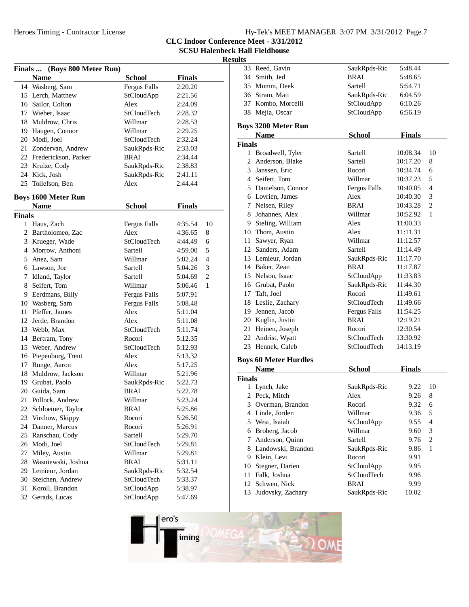|  | Hy-Tek's MEET MANAGER 3:07 PM 3/31/2012 Page 7 |  |  |
|--|------------------------------------------------|--|--|
|  |                                                |  |  |

**CLC Indoor Conference Meet - 3/31/2012**

**SCSU Halenbeck Hall Fieldhouse**

| Finals  (Boys 800 Meter Run) |                                  |                      |               |                     |  |
|------------------------------|----------------------------------|----------------------|---------------|---------------------|--|
|                              | <b>Name</b>                      | <b>School</b>        | <b>Finals</b> |                     |  |
|                              | 14 Wasberg, Sam                  | <b>Fergus Falls</b>  | 2:20.20       |                     |  |
|                              | 15 Lerch, Matthew                | StCloudApp           | 2:21.56       |                     |  |
|                              | 16 Sailor, Colton                | Alex                 | 2:24.09       |                     |  |
|                              | 17 Wieber, Isaac                 | <b>StCloudTech</b>   | 2:28.32       |                     |  |
|                              | 18 Muldrow, Chris                | Willmar              | 2:28.53       |                     |  |
|                              | 19 Haugen, Connor                | Willmar              | 2:29.25       |                     |  |
|                              | 20 Modi, Joel                    | StCloudTech          | 2:32.24       |                     |  |
|                              | 21 Zondervan, Andrew             | SaukRpds-Ric         | 2:33.03       |                     |  |
|                              | 22 Frederickson, Parker          | <b>BRAI</b>          | 2:34.44       |                     |  |
|                              | 23 Kruize, Cody                  | SaukRpds-Ric         | 2:38.83       |                     |  |
|                              | 24 Kick, Josh                    | SaukRpds-Ric         | 2:41.11       |                     |  |
|                              | 25 Tollefson, Ben                | Alex                 | 2:44.44       |                     |  |
|                              |                                  |                      |               |                     |  |
|                              | <b>Boys 1600 Meter Run</b>       |                      |               |                     |  |
|                              | <b>Name</b>                      | <b>School</b>        | <b>Finals</b> |                     |  |
| Finals                       | 1 Haus, Zach                     |                      | 4:35.54       | 10                  |  |
|                              | 2 Bartholomeo, Zac               | Fergus Falls<br>Alex |               | 8                   |  |
|                              |                                  | <b>StCloudTech</b>   | 4:36.65       |                     |  |
|                              | 3 Krueger, Wade                  | Sartell              | 4:44.49       | 6                   |  |
|                              | 4 Morrow, Anthoni<br>5 Anez, Sam |                      | 4:59.00       | 5<br>$\overline{4}$ |  |
|                              |                                  | Willmar              | 5:02.24       |                     |  |
|                              | 6 Lawson, Joe                    | Sartell              | 5:04.26       | 3                   |  |
|                              | 7 Idland, Taylor                 | Sartell              | 5:04.69       | $\overline{2}$      |  |
|                              | 8 Seifert, Tom                   | Willmar              | 5:06.46       | 1                   |  |
|                              | 9 Eerdmans, Billy                | Fergus Falls         | 5:07.91       |                     |  |
|                              | 10 Wasberg, Sam                  | <b>Fergus Falls</b>  | 5:08.48       |                     |  |
|                              | 11 Pfeffer, James                | Alex                 | 5:11.04       |                     |  |
|                              | 12 Jerde, Brandon                | Alex                 | 5:11.08       |                     |  |
|                              | 13 Webb, Max                     | StCloudTech          | 5:11.74       |                     |  |
|                              | 14 Bertram, Tony                 | Rocori               | 5:12.35       |                     |  |
|                              | 15 Weber, Andrew                 | StCloudTech          | 5:12.93       |                     |  |
|                              | 16 Piepenburg, Trent             | Alex                 | 5:13.32       |                     |  |
|                              | 17 Runge, Aaron                  | Alex                 | 5:17.25       |                     |  |
|                              | 18 Muldrow, Jackson              | Willmar              | 5:21.96       |                     |  |
|                              | 19 Grubat, Paolo                 | SaukRpds-Ric         | 5:22.73       |                     |  |
|                              | 20 Guida, Sam                    | BRAI                 | 5:22.78       |                     |  |
|                              | 21 Pollock, Andrew               | Willmar              | 5:23.24       |                     |  |
| 22                           | Schloemer, Taylor                | BRAI                 | 5:25.86       |                     |  |
| 23                           | Virchow, Skippy                  | Rocori               | 5:26.50       |                     |  |
| 24                           | Danner, Marcus                   | Rocori               | 5:26.91       |                     |  |
| 25                           | Ranschau, Cody                   | Sartell              | 5:29.70       |                     |  |
| 26                           | Modi, Joel                       | StCloudTech          | 5:29.81       |                     |  |
| 27                           | Miley, Austin                    | Willmar              | 5:29.81       |                     |  |
| 28                           | Wasniewski, Joshua               | <b>BRAI</b>          | 5:31.11       |                     |  |
|                              | 29 Lemieur, Jordan               | SaukRpds-Ric         | 5:32.54       |                     |  |
| 30                           | Steichen, Andrew                 | StCloudTech          | 5:33.37       |                     |  |
| 31                           | Koroll, Brandon                  | StCloudApp           | 5:38.97       |                     |  |
| 32                           | Gerads, Lucas                    | StCloudApp           | 5:47.69       |                     |  |

| 33 Reed, Gavin                   | SaukRpds-Ric                 | 5:48.44       |                |
|----------------------------------|------------------------------|---------------|----------------|
| 34 Smith, Jed                    | <b>BRAI</b>                  | 5:48.65       |                |
| 35 Mumm, Deek                    | Sartell                      | 5:54.71       |                |
| 36 Stram, Matt                   | SaukRpds-Ric                 | 6:04.59       |                |
| 37 Kombo, Morcelli               | StCloudApp                   | 6:10.26       |                |
| 38 Mejia, Oscar                  | StCloudApp                   | 6:56.19       |                |
| <b>Boys 3200 Meter Run</b>       |                              |               |                |
| <b>Name</b>                      | <b>School</b>                | <b>Finals</b> |                |
| <b>Finals</b>                    |                              |               |                |
| Broadwell, Tyler<br>$\mathbf{1}$ | Sartell                      | 10:08.34      | 10             |
| 2 Anderson, Blake                | Sartell                      | 10:17.20      | 8              |
| 3 Janssen, Eric                  | Rocori                       | 10:34.74      | 6              |
| 4 Seifert, Tom                   | Willmar                      | 10:37.23      | 5              |
| 5 Danielson, Connor              | Fergus Falls                 | 10:40.05      | $\overline{4}$ |
| 6 Lovrien, James                 | Alex                         | 10:40.30      | 3              |
| 7 Nelsen, Riley                  | <b>BRAI</b>                  | 10:43.28      | $\overline{c}$ |
| 8 Johannes, Alex                 | Willmar                      | 10:52.92      | $\mathbf{1}$   |
| Sieling, William<br>9.           | Alex                         | 11:00.33      |                |
| 10 Thom, Austin                  | Alex                         | 11:11.31      |                |
| Sawyer, Ryan<br>11               | Willmar                      | 11:12.57      |                |
| 12 Sanders, Adam                 | Sartell                      | 11:14.49      |                |
| 13 Lemieur, Jordan               | SaukRpds-Ric                 | 11:17.70      |                |
| 14 Baker, Zean                   | <b>BRAI</b>                  | 11:17.87      |                |
| 15 Nelson, Isaac                 | StCloudApp                   | 11:33.83      |                |
| 16 Grubat, Paolo                 | SaukRpds-Ric                 | 11:44.30      |                |
| 17 Taft, Joel                    | Rocori                       | 11:49.61      |                |
| 18 Leslie, Zachary               | <b>StCloudTech</b>           | 11:49.66      |                |
| 19 Jennen, Jacob                 | Fergus Falls                 | 11:54.25      |                |
| 20 Kuglin, Justin                | <b>BRAI</b>                  | 12:19.21      |                |
| Heinen, Joseph<br>21             | Rocori                       | 12:30.54      |                |
| 22 Andrist, Wyatt                | StCloudTech                  | 13:30.92      |                |
| 23 Hennek, Caleb                 | StCloudTech                  | 14:13.19      |                |
|                                  |                              |               |                |
| Name                             | School                       | Finalc        |                |
|                                  | <b>Boys 60 Meter Hurdles</b> |               |                |

|               | <b>Name</b>        | <b>School</b> | <b>Finals</b> |    |
|---------------|--------------------|---------------|---------------|----|
| <b>Finals</b> |                    |               |               |    |
|               | Lynch, Jake        | SaukRpds-Ric  | 9.22          | 10 |
|               | 2 Peck, Mitch      | Alex          | 9.26          | 8  |
| 3             | Overman, Brandon   | Rocori        | 9.32          | 6  |
| 4             | Linde, Jorden      | Willmar       | 9.36          | 5  |
|               | 5 West, Isaiah     | StCloudApp    | 9.55          | 4  |
| 6             | Broberg, Jacob     | Willmar       | 9.60          | 3  |
|               | Anderson, Quinn    | Sartell       | 9.76          | 2  |
| 8.            | Landowski, Brandon | SaukRpds-Ric  | 9.86          | 1  |
| 9             | Klein, Levi        | Rocori        | 9.91          |    |
| 10            | Stegner, Darien    | StCloudApp    | 9.95          |    |
| 11            | Falk, Joshua       | StCloudTech   | 9.96          |    |
|               | 12 Schwen, Nick    | <b>BRAI</b>   | 9.99          |    |
| 13            | Judovsky, Zachary  | SaukRpds-Ric  | 10.02         |    |

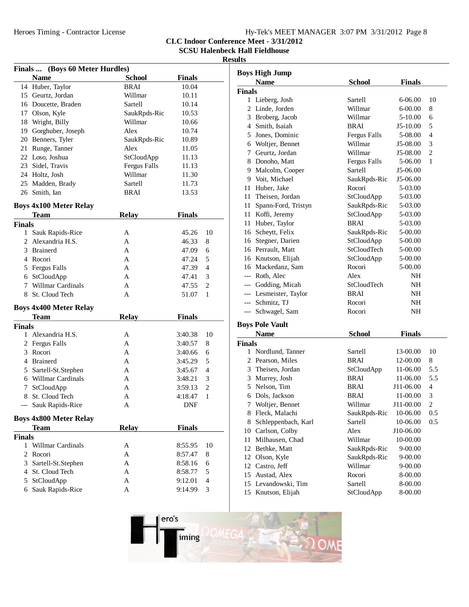# Hy-Tek's MEET MANAGER 3:07 PM 3/31/2012 Page 8

**CLC Indoor Conference Meet - 3/31/2012**

**SCSU Halenbeck Hall Fieldhouse**

| Finals  (Boys 60 Meter Hurdles) |                                          |                     |                    |                |  |
|---------------------------------|------------------------------------------|---------------------|--------------------|----------------|--|
|                                 | <b>Name</b>                              | <b>School</b>       | <b>Finals</b>      |                |  |
|                                 | 14 Huber, Taylor                         | <b>BRAI</b>         | 10.04              |                |  |
|                                 | 15 Geurtz, Jordan                        | Willmar             | 10.11              |                |  |
|                                 | 16 Doucette, Braden                      | Sartell             | 10.14              |                |  |
|                                 | 17 Olson, Kyle                           | SaukRpds-Ric        | 10.53              |                |  |
|                                 | 18 Wright, Billy                         | Willmar             | 10.66              |                |  |
|                                 | 19 Gorghuber, Joseph                     | Alex                | 10.74              |                |  |
|                                 | 20 Benners, Tyler                        | SaukRpds-Ric        | 10.89              |                |  |
|                                 | 21 Runge, Tanner                         | Alex                | 11.05              |                |  |
|                                 | 22 Loso, Joshua                          | StCloudApp          | 11.13              |                |  |
|                                 | 23 Sidel, Travis                         | <b>Fergus Falls</b> | 11.13              |                |  |
|                                 | 24 Holtz, Josh                           | Willmar             | 11.30              |                |  |
|                                 | 25 Madden, Brady                         | Sartell             | 11.73              |                |  |
|                                 | 26 Smith, Ian                            | BRAI                | 13.53              |                |  |
|                                 |                                          |                     |                    |                |  |
|                                 | <b>Boys 4x100 Meter Relay</b>            |                     |                    |                |  |
|                                 | <b>Team</b>                              | <b>Relay</b>        | <b>Finals</b>      |                |  |
| <b>Finals</b>                   |                                          |                     |                    |                |  |
| 1                               | Sauk Rapids-Rice                         | А                   | 45.26              | 10             |  |
| 2                               | Alexandria H.S.                          | A                   | 46.33              | 8              |  |
|                                 | 3 Brainerd                               | A                   | 47.09              | 6              |  |
|                                 | 4 Rocori                                 | A                   | 47.24              | 5              |  |
|                                 | 5 Fergus Falls                           | A                   | 47.39              | $\overline{4}$ |  |
|                                 | 6 StCloudApp                             | A                   | 47.41              | 3              |  |
|                                 | 7 Willmar Cardinals                      | A                   | 47.55              | $\overline{2}$ |  |
|                                 | 8 St. Cloud Tech                         | A                   | 51.07              | 1              |  |
|                                 | <b>Boys 4x400 Meter Relay</b>            |                     |                    |                |  |
|                                 | <b>Team</b>                              | <b>Relay</b>        | <b>Finals</b>      |                |  |
| <b>Finals</b>                   |                                          |                     |                    |                |  |
|                                 | 1 Alexandria H.S.                        | А                   | 3:40.38            | 10             |  |
|                                 | 2 Fergus Falls                           | A                   | 3:40.57            | 8              |  |
|                                 | 3 Rocori                                 | A                   | 3:40.66            | 6              |  |
|                                 | 4 Brainerd                               | A                   | 3:45.29            | 5              |  |
|                                 | 5 Sartell-St.Stephen                     | A                   | 3:45.67            | 4              |  |
|                                 | 6 Willmar Cardinals                      | A                   | 3:48.21            | 3              |  |
|                                 | 7 StCloudApp                             | A                   | 3:59.13            | $\overline{2}$ |  |
|                                 | 8 St. Cloud Tech                         | A                   | 4:18.47            | 1              |  |
| ---                             | Sauk Rapids-Rice                         | A                   | <b>DNF</b>         |                |  |
|                                 |                                          |                     |                    |                |  |
|                                 | <b>Boys 4x800 Meter Relay</b>            |                     |                    |                |  |
|                                 | <b>Team</b>                              | <b>Relay</b>        | <b>Finals</b>      |                |  |
| <b>Finals</b>                   | 1 Willmar Cardinals                      |                     |                    |                |  |
| 2                               | Rocori                                   | Α<br>A              | 8:55.95<br>8:57.47 | 10<br>8        |  |
|                                 |                                          | A                   | 8:58.16            | 6              |  |
|                                 | 3 Sartell-St.Stephen<br>4 St. Cloud Tech | A                   |                    | 5              |  |
|                                 |                                          |                     | 8:58.77            |                |  |
| 5.                              | StCloudApp                               | A                   | 9:12.01            | 4              |  |
| 6                               | Sauk Rapids-Rice                         | A                   | 9:14.99            | 3              |  |

|               | <b>Boys High Jump</b>  |                    |               |                |
|---------------|------------------------|--------------------|---------------|----------------|
|               | <b>Name</b>            | <b>School</b>      | <b>Finals</b> |                |
| <b>Finals</b> |                        |                    |               |                |
|               | 1 Lieberg, Josh        | Sartell            | $6 - 06.00$   | 10             |
|               | 2 Linde, Jorden        | Willmar            | $6 - 00.00$   | 8              |
|               | 3 Broberg, Jacob       | Willmar            | $5 - 10.00$   | 6              |
|               | 4 Smith, Isaiah        | <b>BRAI</b>        | $J5-10.00$    | 5              |
| 5             | Jones, Dominic         | Fergus Falls       | 5-08.00       | 4              |
| 6             | Woltjer, Bennet        | Willmar            | J5-08.00      | 3              |
| 7             | Geurtz, Jordan         | Willmar            | J5-08.00      | $\overline{c}$ |
|               | 8 Donoho, Matt         | Fergus Falls       | 5-06.00       | $\mathbf{1}$   |
|               | 9 Malcolm, Cooper      | Sartell            | $J5-06.00$    |                |
|               | 9 Voit, Michael        | SaukRpds-Ric       | J5-06.00      |                |
|               | 11 Huber, Jake         | Rocori             | 5-03.00       |                |
|               | 11 Theisen, Jordan     | StCloudApp         | 5-03.00       |                |
| 11 -          | Spann-Ford, Tristyn    | SaukRpds-Ric       | 5-03.00       |                |
|               | 11 Koffi, Jeremy       | StCloudApp         | 5-03.00       |                |
|               | 11 Huber, Taylor       | <b>BRAI</b>        | 5-03.00       |                |
|               | 16 Scheytt, Felix      | SaukRpds-Ric       | 5-00.00       |                |
|               | 16 Stegner, Darien     | StCloudApp         | 5-00.00       |                |
|               | 16 Perrault, Matt      | <b>StCloudTech</b> | 5-00.00       |                |
|               | 16 Knutson, Elijah     | StCloudApp         | 5-00.00       |                |
|               | 16 Mackedanz, Sam      | Rocori             | 5-00.00       |                |
|               | --- Roth, Alec         | Alex               | NH            |                |
|               | --- Godding, Micah     | StCloudTech        | NH            |                |
|               | --- Lesmeister, Taylor | <b>BRAI</b>        | NH            |                |
|               | --- Schmitz, TJ        | Rocori             | <b>NH</b>     |                |
| ---           | Schwagel, Sam          | Rocori             | <b>NH</b>     |                |
|               | <b>Boys Pole Vault</b> |                    |               |                |
|               | <b>Name</b>            | <b>School</b>      | <b>Finals</b> |                |

|        | Name                | School       | Finais      |     |
|--------|---------------------|--------------|-------------|-----|
| `inals |                     |              |             |     |
|        | Nordlund, Tanner    | Sartell      | 13-00.00    | 10  |
| 2      | Pearson, Miles      | <b>BRAI</b>  | 12-00.00    | 8   |
| 3      | Theisen, Jordan     | StCloudApp   | 11-06.00    | 5.5 |
| 3      | Murrey, Josh        | <b>BRAI</b>  | 11-06.00    | 5.5 |
| 5      | Nelson, Tim         | <b>BRAI</b>  | J11-06.00   | 4   |
| 6      | Dols, Jackson       | <b>BRAI</b>  | 11-00.00    | 3   |
| 7      | Woltjer, Bennet     | Willmar      | J11-00.00   | 2   |
| 8      | Fleck, Malachi      | SaukRpds-Ric | 10-06.00    | 0.5 |
| 8      | Schleppenbach, Karl | Sartell      | 10-06.00    | 0.5 |
| 10     | Carlson, Colby      | Alex         | J10-06.00   |     |
| 11     | Milhausen, Chad     | Willmar      | 10-00.00    |     |
| 12     | Bethke, Matt        | SaukRpds-Ric | $9 - 00.00$ |     |
| 12     | Olson, Kyle         | SaukRpds-Ric | $9 - 00.00$ |     |
| 12     | Castro, Jeff        | Willmar      | $9 - 00.00$ |     |
| 15     | Austad, Alex        | Rocori       | 8-00.00     |     |
|        | 15 Levandowski, Tim | Sartell      | 8-00.00     |     |
| 15     | Knutson, Elijah     | StCloudApp   | 8-00.00     |     |
|        |                     |              |             |     |

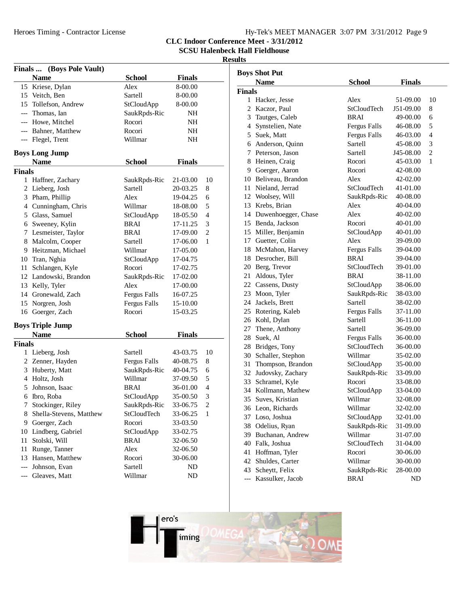# Hy-Tek's MEET MANAGER 3:07 PM 3/31/2012 Page 9

**CLC Indoor Conference Meet - 3/31/2012**

**SCSU Halenbeck Hall Fieldhouse**

|               | Finals  (Boys Pole Vault) |                     |               |                |
|---------------|---------------------------|---------------------|---------------|----------------|
|               | <b>Name</b>               | <b>School</b>       | <b>Finals</b> |                |
| 15            | Kriese, Dylan             | Alex                | 8-00.00       |                |
|               | 15 Veitch, Ben            | Sartell             | 8-00.00       |                |
|               | 15 Tollefson, Andrew      | StCloudApp          | 8-00.00       |                |
|               | --- Thomas, Ian           | SaukRpds-Ric        | NΗ            |                |
|               | --- Howe, Mitchel         | Rocori              | NΗ            |                |
|               | --- Bahner, Matthew       | Rocori              | NΗ            |                |
| $---$         | Flegel, Trent             | Willmar             | NΗ            |                |
|               | <b>Boys Long Jump</b>     |                     |               |                |
|               | <b>Name</b>               | <b>School</b>       | <b>Finals</b> |                |
| <b>Finals</b> |                           |                     |               |                |
|               | 1 Haffner, Zachary        | SaukRpds-Ric        | 21-03.00      | 10             |
|               | 2 Lieberg, Josh           | Sartell             | 20-03.25      | 8              |
|               | 3 Pham, Phillip           | Alex                | 19-04.25      | 6              |
|               | 4 Cunningham, Chris       | Willmar             | 18-08.00      | 5              |
|               | 5 Glass, Samuel           | StCloudApp          | 18-05.50      | 4              |
|               | 6 Sweeney, Kylin          | <b>BRAI</b>         | 17-11.25      | 3              |
|               | 7 Lesmeister, Taylor      | BRAI                | 17-09.00      | 2              |
|               | 8 Malcolm, Cooper         | Sartell             | 17-06.00      | 1              |
|               | 9 Heitzman, Michael       | Willmar             | 17-05.00      |                |
|               | 10 Tran, Nghia            | StCloudApp          | 17-04.75      |                |
|               | 11 Schlangen, Kyle        | Rocori              | 17-02.75      |                |
|               | 12 Landowski, Brandon     | SaukRpds-Ric        | 17-02.00      |                |
|               | 13 Kelly, Tyler           | Alex                | 17-00.00      |                |
|               | 14 Gronewald, Zach        | <b>Fergus Falls</b> | 16-07.25      |                |
|               | 15 Norgren, Josh          | <b>Fergus Falls</b> | 15-10.00      |                |
|               | 16 Goerger, Zach          | Rocori              | 15-03.25      |                |
|               | <b>Boys Triple Jump</b>   |                     |               |                |
|               | <b>Name</b>               | <b>School</b>       | <b>Finals</b> |                |
| <b>Finals</b> |                           |                     |               |                |
|               | 1 Lieberg, Josh           | Sartell             | 43-03.75      | 10             |
|               | 2 Zenner, Hayden          | Fergus Falls        | 40-08.75      | 8              |
|               | 3 Huberty, Matt           | SaukRpds-Ric        | 40-04.75      | 6              |
|               | 4 Holtz, Josh             | Willmar             | 37-09.50      | 5              |
|               | 5 Johnson, Isaac          | BRAI                | 36-01.00      | 4              |
|               | 6 Ibro, Roba              | StCloudApp          | 35-00.50      | 3              |
| 7             | Stockinger, Riley         | SaukRpds-Ric        | 33-06.75      | $\overline{2}$ |
| 8             | Shella-Stevens, Matthew   | StCloudTech         | 33-06.25      | 1              |
| 9             | Goerger, Zach             | Rocori              | 33-03.50      |                |
| $10\,$        | Lindberg, Gabriel         | StCloudApp          | 33-02.75      |                |
| 11            | Stolski, Will             | <b>BRAI</b>         | 32-06.50      |                |
|               |                           |                     |               |                |
| 11            | Runge, Tanner             | Alex                | 32-06.50      |                |
| 13            | Hansen, Matthew           | Rocori              | 30-06.00      |                |
| $---$         | Johnson, Evan             | Sartell             | ND            |                |
| $---$         | Gleaves, Matt             | Willmar             | ND            |                |

| <b>Boys Shot Put</b> |                        |                     |               |    |  |
|----------------------|------------------------|---------------------|---------------|----|--|
|                      | <b>Name</b>            | School              | <b>Finals</b> |    |  |
| <b>Finals</b>        |                        |                     |               |    |  |
|                      | 1 Hacker, Jesse        | Alex                | 51-09.00      | 10 |  |
|                      | 2 Kaczor, Paul         | StCloudTech         | J51-09.00     | 8  |  |
|                      | 3 Tautges, Caleb       | BRAI                | 49-00.00      | 6  |  |
|                      | 4 Synstelien, Nate     | Fergus Falls        | 46-08.00      | 5  |  |
|                      | 5 Suek, Matt           | Fergus Falls        | 46-03.00      | 4  |  |
|                      | 6 Anderson, Quinn      | Sartell             | 45-08.00      | 3  |  |
|                      | 7 Peterson, Jason      | Sartell             | J45-08.00     | 2  |  |
|                      | 8 Heinen, Craig        | Rocori              | 45-03.00      | 1  |  |
|                      | 9 Goerger, Aaron       | Rocori              | 42-08.00      |    |  |
|                      | 10 Beliveau, Brandon   | Alex                | 42-02.00      |    |  |
|                      | 11 Nieland, Jerrad     | StCloudTech         | 41-01.00      |    |  |
|                      | 12 Woolsey, Will       | SaukRpds-Ric        | 40-08.00      |    |  |
|                      | 13 Krebs, Brian        | Alex                | 40-04.00      |    |  |
|                      | 14 Duwenhoegger, Chase | Alex                | 40-02.00      |    |  |
|                      | 15 Benda, Jackson      | Rocori              | 40-01.00      |    |  |
|                      | 15 Miller, Benjamin    | StCloudApp          | 40-01.00      |    |  |
|                      | 17 Guetter, Colin      | Alex                | 39-09.00      |    |  |
|                      | 18 McMahon, Harvey     | <b>Fergus Falls</b> | 39-04.00      |    |  |
|                      | 18 Desrocher, Bill     | BRAI                | 39-04.00      |    |  |
|                      | 20 Berg, Trevor        | StCloudTech         | 39-01.00      |    |  |
|                      | 21 Aldous, Tyler       | BRAI                | 38-11.00      |    |  |
|                      | 22 Cassens, Dusty      | StCloudApp          | 38-06.00      |    |  |
|                      | 23 Moon, Tyler         | SaukRpds-Ric        | 38-03.00      |    |  |
|                      | 24 Jackels, Brett      | Sartell             | 38-02.00      |    |  |
|                      | 25 Rotering, Kaleb     | <b>Fergus Falls</b> | 37-11.00      |    |  |
|                      | 26 Kohl, Dylan         | Sartell             | 36-11.00      |    |  |
|                      | 27 Thene, Anthony      | Sartell             | 36-09.00      |    |  |
|                      | 28 Suek, Al            | Fergus Falls        | 36-00.00      |    |  |
|                      | 28 Bridges, Tony       | StCloudTech         | 36-00.00      |    |  |
|                      | 30 Schaller, Stephon   | Willmar             | 35-02.00      |    |  |
|                      | 31 Thompson, Brandon   | StCloudApp          | 35-00.00      |    |  |
|                      | 32 Judovsky, Zachary   | SaukRpds-Ric        | 33-09.00      |    |  |
|                      | 33 Schramel, Kyle      | Rocori              | 33-08.00      |    |  |
|                      | 34 Kollmann, Mathew    | StCloudApp          | 33-04.00      |    |  |
|                      | 35 Suves, Kristian     | Willmar             | 32-08.00      |    |  |
|                      | 36 Leon, Richards      | Willmar             | 32-02.00      |    |  |
|                      | 37 Loso, Joshua        | StCloudApp          | 32-01.00      |    |  |
| 38                   | Odelius, Ryan          | SaukRpds-Ric        | 31-09.00      |    |  |
|                      | 39 Buchanan, Andrew    | Willmar             | 31-07.00      |    |  |
|                      | 40 Falk, Joshua        | StCloudTech         | 31-04.00      |    |  |
| 41                   | Hoffman, Tyler         | Rocori              | 30-06.00      |    |  |
| 42                   | Shuldes, Carter        | Willmar             | 30-00.00      |    |  |
| 43                   | Scheytt, Felix         | SaukRpds-Ric        | 28-00.00      |    |  |
| $---$                | Kassulker, Jacob       | <b>BRAI</b>         | ND            |    |  |